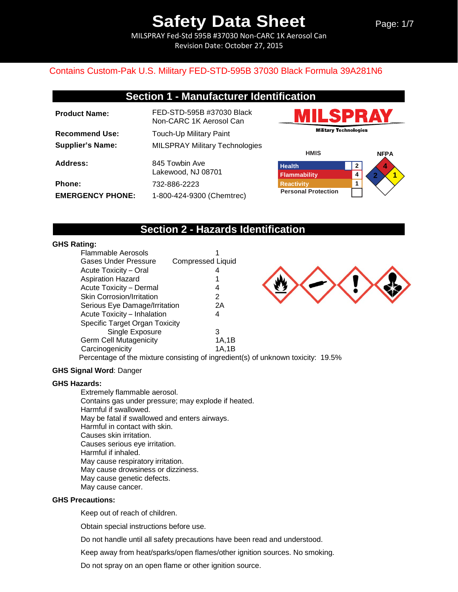MILSPRAY Fed-Std 595B #37030 Non-CARC 1K Aerosol Can Revision Date: October 27, 2015

### Contains Custom-Pak U.S. Military FED-STD-595B 37030 Black Formula 39A281N6

## **Section 1 - Manufacturer Identification**

| <b>Product Name:</b>    | FED-STD-595B #37030 Black<br>Non-CARC 1K Aerosol Can |
|-------------------------|------------------------------------------------------|
| <b>Recommend Use:</b>   | Touch-Up Military Paint                              |
| <b>Supplier's Name:</b> | <b>MILSPRAY Military Technologies</b>                |
| Address:                | 845 Towbin Ave<br>Lakewood, NJ 08701                 |
| Phone:                  | 732-886-2223                                         |
| <b>EMERGENCY PHONE:</b> | 1-800-424-9300 (Chemtrec)                            |





## **Section 2 - Hazards Identification**

### **GHS Rating:**

| Flammable Aerosols                    |                          |  |
|---------------------------------------|--------------------------|--|
| <b>Gases Under Pressure</b>           | <b>Compressed Liquid</b> |  |
| <b>Acute Toxicity - Oral</b>          |                          |  |
| <b>Aspiration Hazard</b>              |                          |  |
| Acute Toxicity - Dermal               | 4                        |  |
| <b>Skin Corrosion/Irritation</b>      | 2                        |  |
| Serious Eye Damage/Irritation         | 2Α                       |  |
| Acute Toxicity - Inhalation           | 4                        |  |
| <b>Specific Target Organ Toxicity</b> |                          |  |
| Single Exposure                       | 3                        |  |
| <b>Germ Cell Mutagenicity</b>         | 1A,1B                    |  |
| Carcinogenicity                       | 1A.1B                    |  |
|                                       |                          |  |



Percentage of the mixture consisting of ingredient(s) of unknown toxicity: 19.5%

#### **GHS Signal Word**: Danger

### **GHS Hazards:**

Extremely flammable aerosol. Contains gas under pressure; may explode if heated. Harmful if swallowed. May be fatal if swallowed and enters airways. Harmful in contact with skin. Causes skin irritation. Causes serious eye irritation. Harmful if inhaled. May cause respiratory irritation. May cause drowsiness or dizziness. May cause genetic defects. May cause cancer.

#### **GHS Precautions:**

Keep out of reach of children.

Obtain special instructions before use.

Do not handle until all safety precautions have been read and understood.

Keep away from heat/sparks/open flames/other ignition sources. No smoking.

Do not spray on an open flame or other ignition source.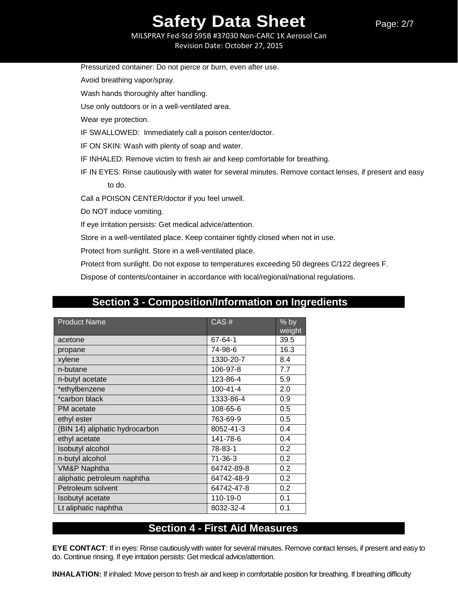MILSPRAY Fed-Std 595B #37030 Non-CARC 1K Aerosol Can Revision Date: October 27, 2015

| Pressurized container: Do not pierce or burn, even after use.              |
|----------------------------------------------------------------------------|
| Avoid breathing vapor/spray.                                               |
| Wash hands thoroughly after handling.                                      |
| Use only outdoors or in a well-ventilated area.                            |
| Wear eye protection.                                                       |
| IF SWALLOWED: Immediately call a poison center/doctor.                     |
| IF ON SKIN: Wash with plenty of soap and water.                            |
| IF INHALED: Remove victim to fresh air and keep comfortable for breathing. |
| IF IN EYES: Rinse cautiously with water for several minutes. Remove contac |
| to do.                                                                     |
| Call a POISON CENTER/doctor if you feel unwell.                            |
| Do NOT induce vomiting.                                                    |
| If eye irritation persists: Get medical advice/attention.                  |
|                                                                            |

ntact lenses, if present and easy

Store in a well-ventilated place. Keep container tightly closed when not in use.

Protect from sunlight. Store in a well-ventilated place.

Protect from sunlight. Do not expose to temperatures exceeding 50 degrees C/122 degrees F.

Dispose of contents/container in accordance with local/regional/national regulations.

## **Section 3 - Composition/Information on Ingredients**

| <b>Product Name</b>            | CAS#           | % by<br>weight |
|--------------------------------|----------------|----------------|
| acetone                        | 67-64-1        | 39.5           |
| propane                        | 74-98-6        | 16.3           |
| xylene                         | 1330-20-7      | 8.4            |
| n-butane                       | 106-97-8       | 7.7            |
| n-butyl acetate                | 123-86-4       | 5.9            |
| *ethylbenzene                  | $100 - 41 - 4$ | 2.0            |
| *carbon black                  | 1333-86-4      | 0.9            |
| PM acetate                     | 108-65-6       | 0.5            |
| ethyl ester                    | 763-69-9       | 0.5            |
| (BIN 14) aliphatic hydrocarbon | 8052-41-3      | 0.4            |
| ethyl acetate                  | 141-78-6       | 0.4            |
| <b>Isobutyl alcohol</b>        | 78-83-1        | 0.2            |
| n-butyl alcohol                | 71-36-3        | 0.2            |
| VM&P Naphtha                   | 64742-89-8     | 0.2            |
| aliphatic petroleum naphtha    | 64742-48-9     | 0.2            |
| Petroleum solvent              | 64742-47-8     | 0.2            |
| <b>Isobutyl</b> acetate        | 110-19-0       | 0.1            |
| Lt aliphatic naphtha           | 8032-32-4      | 0.1            |

## **Section 4 - First Aid Measures**

**EYE CONTACT**: If in eyes: Rinse cautiously with water for several minutes. Remove contact lenses, if present and easy to do. Continue rinsing. If eye irritation persists: Get medical advice/attention.

**INHALATION:** If inhaled: Move person to fresh air and keep in comfortable position for breathing. If breathing difficulty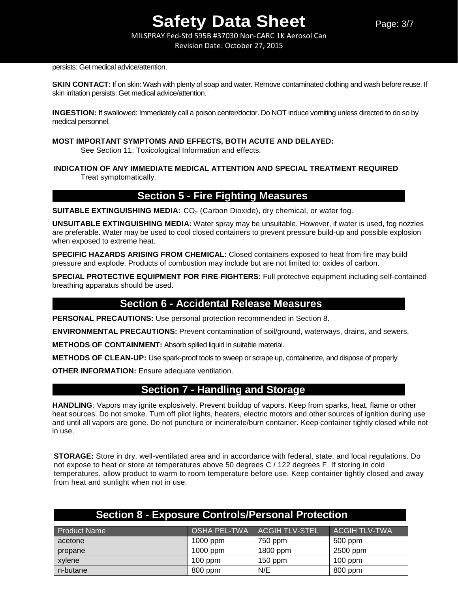MILSPRAY Fed-Std 595B #37030 Non-CARC 1K Aerosol Can Revision Date: October 27, 2015

persists: Get medical advice/attention.

**SKIN CONTACT:** If on skin: Wash with plenty of soap and water. Remove contaminated clothing and wash before reuse. If skin irritation persists: Get medical advice/attention.

**INGESTION:** If swallowed: Immediately call a poison center/doctor. Do NOT induce vomiting unless directed to do so by medical personnel.

### **MOST IMPORTANT SYMPTOMS AND EFFECTS, BOTH ACUTE AND DELAYED:**

See Section 11: Toxicological Information and effects.

**INDICATION OF ANY IMMEDIATE MEDICAL ATTENTION AND SPECIAL TREATMENT REQUIRED** Treat symptomatically.

## **Section 5 - Fire Fighting Measures**

**SUITABLE EXTINGUISHING MEDIA:** CO<sub>2</sub> (Carbon Dioxide), dry chemical, or water fog.

**UNSUITABLE EXTINGUISHING MEDIA:** Water spray may be unsuitable. However, if water is used, fog nozzles are preferable. Water may be used to cool closed containers to prevent pressure build-up and possible explosion when exposed to extreme heat.

**SPECIFIC HAZARDS ARISING FROM CHEMICAL:** Closed containers exposed to heat from fire may build pressure and explode. Products of combustion may include but are not limited to: oxides of carbon.

**SPECIAL PROTECTIVE EQUIPMENT FOR FIRE**-**FIGHTERS:** Full protective equipment including self-contained breathing apparatus should be used.

## **Section 6 - Accidental Release Measures**

**PERSONAL PRECAUTIONS:** Use personal protection recommended in Section 8.

**ENVIRONMENTAL PRECAUTIONS:** Prevent contamination of soil/ground, waterways, drains, and sewers.

**METHODS OF CONTAINMENT:** Absorb spilled liquid in suitable material.

**METHODS OF CLEAN-UP:** Use spark-proof tools to sweep or scrape up, containerize, and dispose of properly.

**OTHER INFORMATION:** Ensure adequate ventilation.

## **Section 7 - Handling and Storage**

**HANDLING**: Vapors may ignite explosively. Prevent buildup of vapors. Keep from sparks, heat, flame or other heat sources. Do not smoke. Turn off pilot lights, heaters, electric motors and other sources of ignition during use and until all vapors are gone. Do not puncture or incinerate/burn container. Keep container tightly closed while not in use.

**STORAGE:** Store in dry, well-ventilated area and in accordance with federal, state, and local regulations. Do not expose to heat or store at temperatures above 50 degrees C / 122 degrees F. If storing in cold temperatures, allow product to warm to room temperature before use. Keep container tightly closed and away from heat and sunlight when not in use.

| <b>Section 8 - Exposure Controls/Personal Protection</b> |            |                             |                      |
|----------------------------------------------------------|------------|-----------------------------|----------------------|
| <b>Product Name</b>                                      |            | OSHA PEL-TWA ACGIH TLV-STEL | <b>ACGIH TLV-TWA</b> |
| acetone                                                  | $1000$ ppm | 750 ppm                     | 500 ppm              |
| propane                                                  | 1000 ppm   | 1800 ppm                    | 2500 ppm             |
| xylene                                                   | $100$ ppm  | $150$ ppm                   | $100$ ppm            |
| n-butane                                                 | 800 ppm    | N/E                         | 800 ppm              |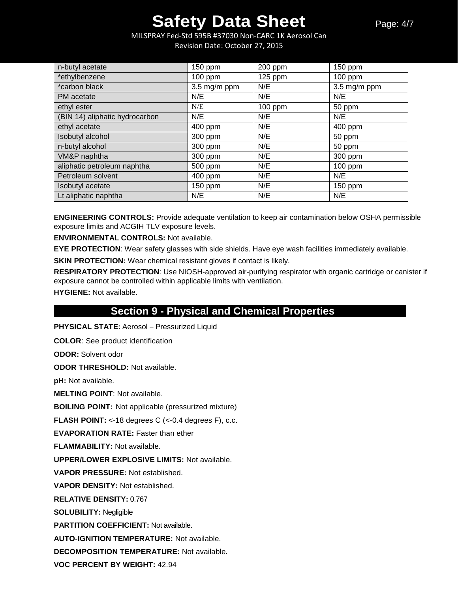MILSPRAY Fed-Std 595B #37030 Non-CARC 1K Aerosol Can Revision Date: October 27, 2015

| n-butyl acetate                | 150 ppm                | 200 ppm   | $150$ ppm              |
|--------------------------------|------------------------|-----------|------------------------|
| *ethylbenzene                  | $100$ ppm              | $125$ ppm | $100$ ppm              |
| *carbon black                  | $3.5 \text{ mg/m ppm}$ | N/E       | $3.5 \text{ mg/m ppm}$ |
| PM acetate                     | N/E                    | N/E       | N/E                    |
| ethyl ester                    | N/E                    | 100 ppm   | 50 ppm                 |
| (BIN 14) aliphatic hydrocarbon | N/E                    | N/E       | N/E                    |
| ethyl acetate                  | 400 ppm                | N/E       | 400 ppm                |
| Isobutyl alcohol               | 300 ppm                | N/E       | 50 ppm                 |
| n-butyl alcohol                | 300 ppm                | N/E       | 50 ppm                 |
| VM&P naphtha                   | 300 ppm                | N/E       | 300 ppm                |
| aliphatic petroleum naphtha    | 500 ppm                | N/E       | 100 ppm                |
| Petroleum solvent              | 400 ppm                | N/E       | N/E                    |
| Isobutyl acetate               | 150 ppm                | N/E       | 150 ppm                |
| Lt aliphatic naphtha           | N/E                    | N/E       | N/E                    |

**ENGINEERING CONTROLS:** Provide adequate ventilation to keep air contamination below OSHA permissible exposure limits and ACGIH TLV exposure levels.

**ENVIRONMENTAL CONTROLS:** Not available.

**EYE PROTECTION**: Wear safety glasses with side shields. Have eye wash facilities immediately available.

**SKIN PROTECTION:** Wear chemical resistant gloves if contact is likely.

**RESPIRATORY PROTECTION**: Use NIOSH-approved air-purifying respirator with organic cartridge or canister if exposure cannot be controlled within applicable limits with ventilation.

**HYGIENE:** Not available.

## **Section 9 - Physical and Chemical Properties**

**PHYSICAL STATE:** Aerosol – Pressurized Liquid

**COLOR**: See product identification

**ODOR:** Solvent odor

**ODOR THRESHOLD:** Not available.

**pH:** Not available.

**MELTING POINT**: Not available.

**BOILING POINT:** Not applicable (pressurized mixture)

**FLASH POINT:** <-18 degrees C (<-0.4 degrees F), c.c.

**EVAPORATION RATE:** Faster than ether

**FLAMMABILITY:** Not available.

**UPPER/LOWER EXPLOSIVE LIMITS:** Not available.

**VAPOR PRESSURE:** Not established.

**VAPOR DENSITY:** Not established.

**RELATIVE DENSITY:** 0.767

**SOLUBILITY:** Negligible

**PARTITION COEFFICIENT:** Not available.

**AUTO-IGNITION TEMPERATURE:** Not available.

**DECOMPOSITION TEMPERATURE:** Not available.

**VOC PERCENT BY WEIGHT:** 42.94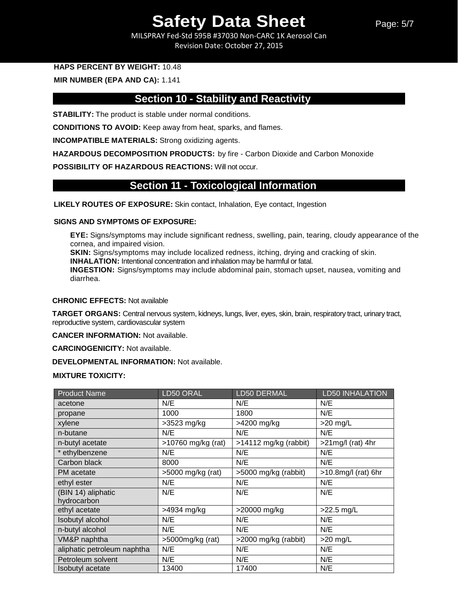Page: 5/7

MILSPRAY Fed-Std 595B #37030 Non-CARC 1K Aerosol Can Revision Date: October 27, 2015

### **HAPS PERCENT BY WEIGHT:** 10.48

### **MIR NUMBER (EPA AND CA):** 1.141

## **Section 10 - Stability and Reactivity**

**STABILITY:** The product is stable under normal conditions.

**CONDITIONS TO AVOID:** Keep away from heat, sparks, and flames.

**INCOMPATIBLE MATERIALS:** Strong oxidizing agents.

**HAZARDOUS DECOMPOSITION PRODUCTS:** by fire - Carbon Dioxide and Carbon Monoxide

**POSSIBILITY OF HAZARDOUS REACTIONS:** Will not occur.

## **Section 11 - Toxicological Information**

**LIKELY ROUTES OF EXPOSURE:** Skin contact, Inhalation, Eye contact, Ingestion

#### **SIGNS AND SYMPTOMS OF EXPOSURE:**

**EYE:** Signs/symptoms may include significant redness, swelling, pain, tearing, cloudy appearance of the cornea, and impaired vision. **SKIN:** Signs/symptoms may include localized redness, itching, drying and cracking of skin. **INHALATION:** Intentional concentration and inhalation may be harmful or fatal. **INGESTION:** Signs/symptoms may include abdominal pain, stomach upset, nausea, vomiting and

diarrhea.

### **CHRONIC EFFECTS:** Not available

**TARGET ORGANS:** Central nervous system, kidneys, lungs, liver, eyes, skin, brain, respiratory tract, urinary tract, reproductive system, cardiovascular system

**CANCER INFORMATION:** Not available.

**CARCINOGENICITY:** Not available.

**DEVELOPMENTAL INFORMATION:** Not available.

#### **MIXTURE TOXICITY:**

| <b>Product Name</b>         | LD50 ORAL          | LD50 DERMAL                       | <b>LD50 INHALATION</b> |
|-----------------------------|--------------------|-----------------------------------|------------------------|
| acetone                     | N/E                | N/E                               | N/E                    |
| propane                     | 1000               | 1800                              | N/E                    |
| xylene                      | $>3523$ mg/kg      | >4200 mg/kg                       | $>20$ mg/L             |
| n-butane                    | N/E                | N/E                               | N/E                    |
| n-butyl acetate             | >10760 mg/kg (rat) | >14112 mg/kg (rabbit)             | $>21$ mg/l (rat) 4hr   |
| * ethylbenzene              | N/E                | N/E                               | N/E                    |
| Carbon black                | 8000               | N/E                               | N/E                    |
| PM acetate                  | >5000 mg/kg (rat)  | >5000 mg/kg (rabbit)              | >10.8mg/l (rat) 6hr    |
| ethyl ester                 | N/E                | N/E                               | N/E                    |
| (BIN 14) aliphatic          | N/E                | N/E                               | N/E                    |
| hydrocarbon                 |                    |                                   |                        |
| ethyl acetate               | >4934 mg/kg        | >20000 mg/kg                      | $>22.5$ mg/L           |
| Isobutyl alcohol            | N/E                | N/E                               | N/E                    |
| n-butyl alcohol             | N/E                | N/E                               | N/E                    |
| VM&P naphtha                | >5000mg/kg (rat)   | $\overline{>2000}$ mg/kg (rabbit) | $>20$ mg/L             |
| aliphatic petroleum naphtha | N/E                | N/E                               | N/E                    |
| Petroleum solvent           | N/E                | N/E                               | N/E                    |
| Isobutyl acetate            | 13400              | 17400                             | N/E                    |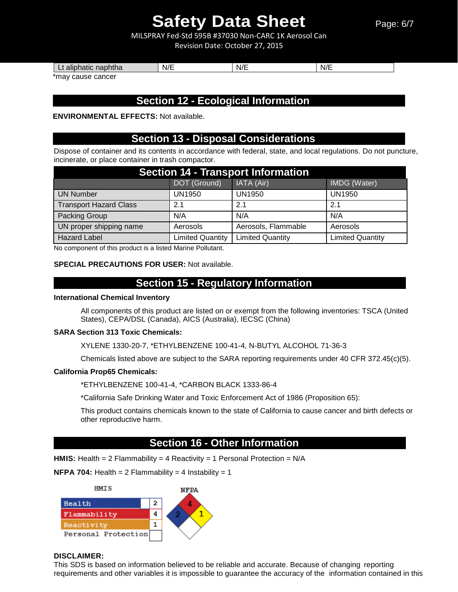Page: 6/7

MILSPRAY Fed-Std 595B #37030 Non-CARC 1K Aerosol Can Revision Date: October 27, 2015

| naphtha<br>aliphatic<br>-- | N/F | $\mathbf{H}$<br>יי<br>91 L | $\blacksquare$<br>N/I |
|----------------------------|-----|----------------------------|-----------------------|
|                            |     |                            |                       |

\*may cause cancer

## **Section 12 - Ecological Information**

**ENVIRONMENTAL EFFECTS:** Not available.

## **Section 13 - Disposal Considerations**

Dispose of container and its contents in accordance with federal, state, and local regulations. Do not puncture, incinerate, or place container in trash compactor.

| <b>Section 14 - Transport Information</b> |                         |                         |                         |  |
|-------------------------------------------|-------------------------|-------------------------|-------------------------|--|
|                                           | DOT (Ground)            | IATA (Air)              | IMDG (Water)            |  |
| <b>UN Number</b>                          | <b>UN1950</b>           | <b>UN1950</b>           | <b>UN1950</b>           |  |
| <b>Transport Hazard Class</b>             | 2.1                     | 2.1                     | 2.1                     |  |
| Packing Group                             | N/A                     | N/A                     | N/A                     |  |
| UN proper shipping name                   | Aerosols                | Aerosols, Flammable     | Aerosols                |  |
| <b>Hazard Label</b>                       | <b>Limited Quantity</b> | <b>Limited Quantity</b> | <b>Limited Quantity</b> |  |

No component of this product is a listed Marine Pollutant.

#### **SPECIAL PRECAUTIONS FOR USER:** Not available.

## **Section 15 - Regulatory Information**

#### **International Chemical Inventory**

All components of this product are listed on or exempt from the following inventories: TSCA (United States), CEPA/DSL (Canada), AICS (Australia), IECSC (China)

#### **SARA Section 313 Toxic Chemicals:**

XYLENE 1330-20-7, \*ETHYLBENZENE 100-41-4, N-BUTYL ALCOHOL 71-36-3

Chemicals listed above are subject to the SARA reporting requirements under 40 CFR 372.45(c)(5).

### **California Prop65 Chemicals:**

\*ETHYLBENZENE 100-41-4, \*CARBON BLACK 1333-86-4

\*California Safe Drinking Water and Toxic Enforcement Act of 1986 (Proposition 65):

This product contains chemicals known to the state of California to cause cancer and birth defects or other reproductive harm.

## **Section 16 - Other Information**

**HMIS:** Health = 2 Flammability = 4 Reactivity = 1 Personal Protection = N/A

**NFPA 704:** Health =  $2$  Flammability =  $4$  Instability =  $1$ 



### **DISCLAIMER:**

This SDS is based on information believed to be reliable and accurate. Because of changing reporting requirements and other variables it is impossible to guarantee the accuracy of the information contained in this